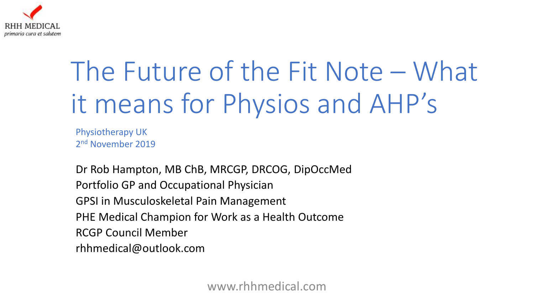

## The Future of the Fit Note – What it means for Physios and AHP's

Physiotherapy UK 2<sup>nd</sup> November 2019

Dr Rob Hampton, MB ChB, MRCGP, DRCOG, DipOccMed Portfolio GP and Occupational Physician GPSI in Musculoskeletal Pain Management PHE Medical Champion for Work as a Health Outcome RCGP Council Member rhhmedical@outlook.com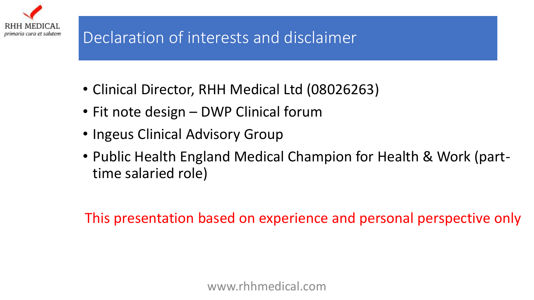

### Declaration of interests and disclaimer

- Clinical Director, RHH Medical Ltd (08026263)
- Fit note design DWP Clinical forum
- Ingeus Clinical Advisory Group
- Public Health England Medical Champion for Health & Work (parttime salaried role)

This presentation based on experience and personal perspective only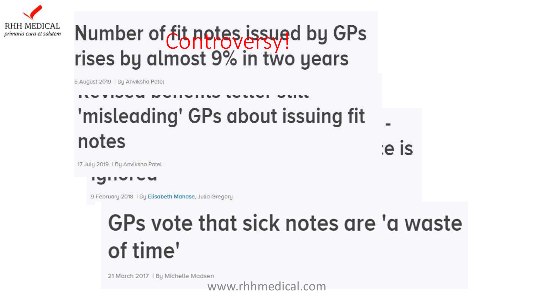

# Number of fit notes issued by GPs<br>rises by almost 9% in two years

5 August 2019 | By Anviksha Patel

### 'misleading' GPs about issuing fit notes e is

17 July 2019 | By Anviksha Patel

#### $1$ 4 $1$ V $1$ V $1$

9 February 2018 | By Elisabeth Mahase, Julia Gregory

## GPs vote that sick notes are 'a waste of time'

21 March 2017 | By Michelle Madsen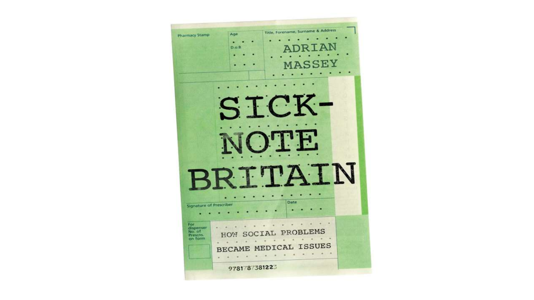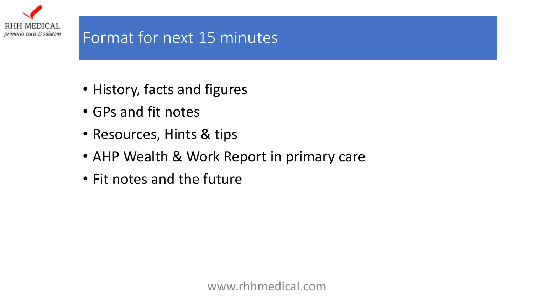

### Format for next 15 minutes

- History, facts and figures
- GPs and fit notes
- Resources, Hints & tips
- AHP Wealth & Work Report in primary care
- Fit notes and the future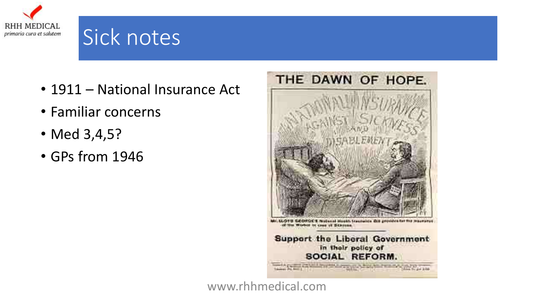

## Sick notes

- 1911 National Insurance Act
- Familiar concerns
- Med 3,4,5?
- GPs from 1946

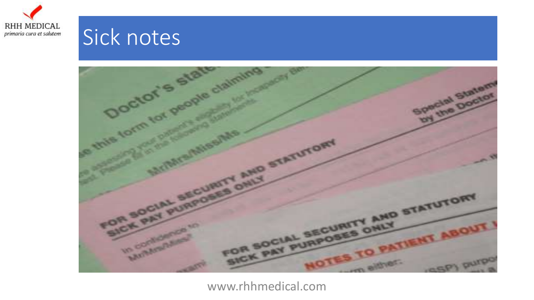

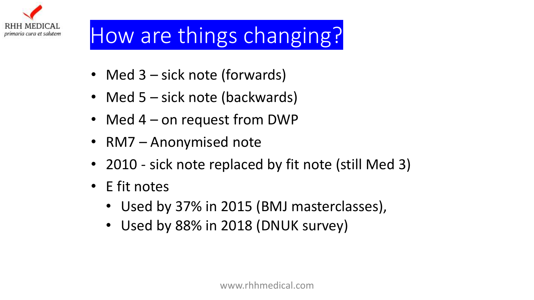

## How are things changing?

- Med 3 sick note (forwards)
- Med 5 sick note (backwards)
- Med 4 on request from DWP
- RM7 Anonymised note
- 2010 sick note replaced by fit note (still Med 3)
- E fit notes
	- Used by 37% in 2015 (BMJ masterclasses),
	- Used by 88% in 2018 (DNUK survey)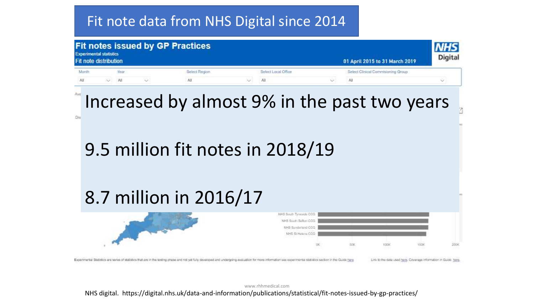#### Fit note data from NHS Digital since 2014



NHS digital. https://digital.nhs.uk/data-and-information/publications/statistical/fit-notes-issued-by-gp-practices/ www.rhhmedical.com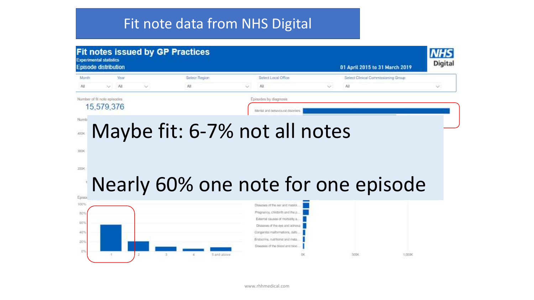#### Fit note data from NHS Digital

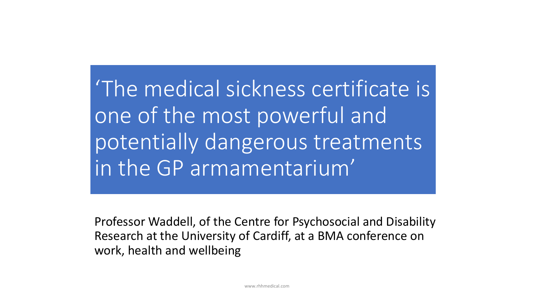'The medical sickness certificate is one of the most powerful and potentially dangerous treatments in the GP armamentarium'

Professor Waddell, of the Centre for Psychosocial and Disability Research at the University of Cardiff, at a BMA conference on work, health and wellbeing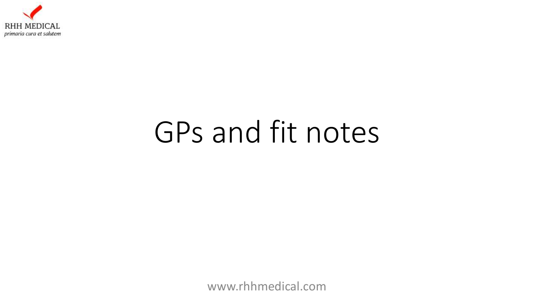

## GPs and fit notes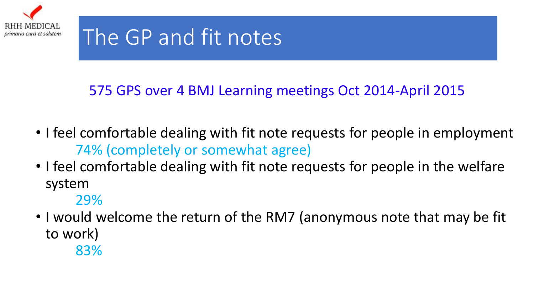

## The GP and fit notes

#### 575 GPS over 4 BMJ Learning meetings Oct 2014-April 2015

- I feel comfortable dealing with fit note requests for people in employment 74% (completely or somewhat agree)
- I feel comfortable dealing with fit note requests for people in the welfare system

#### 29%

• I would welcome the return of the RM7 (anonymous note that may be fit to work)

83%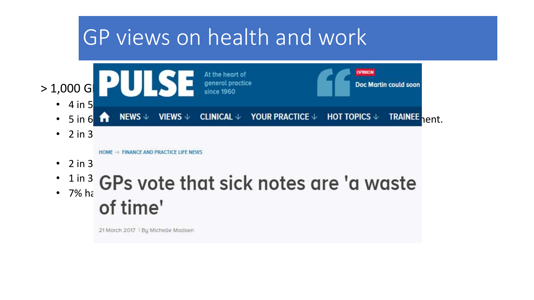

21 March 2017 | By Michelle Madsen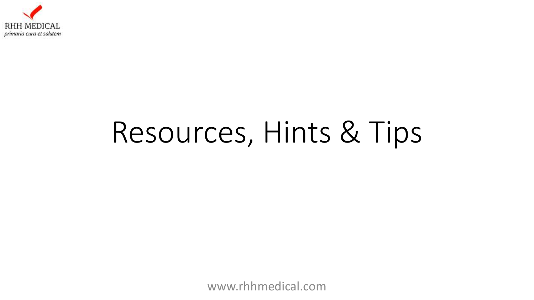

## Resources, Hints & Tips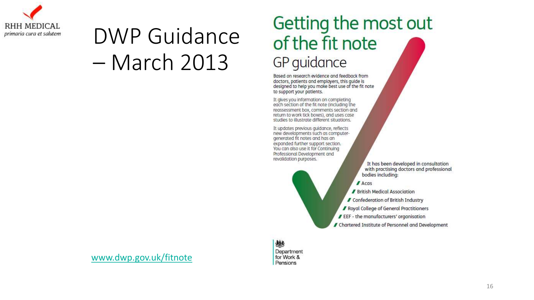

## DWP Guidance – March 2013

Getting the most out of the fit note GP guidance

Based on research evidence and feedback from doctors, patients and employers, this guide is designed to help you make best use of the fit note to support your patients.

It gives you information on completing each section of the fit note (including the reassessment box, comments section and return to work tick boxes), and uses case studies to illustrate different situations.

It updates previous quidance, reflects new developments such as computergenerated fit notes and has an expanded further support section. You can also use it for Continuing Professional Development and revalidation purposes.

It has been developed in consultation with practising doctors and professional bodies including:

 $A<sub>cas</sub>$ 

British Medical Association Confederation of British Industry Royal College of General Practitioners EEF - the manufacturers' organisation ✔ Chartered Institute of Personnel and Development

戀 Department for Work & **Pensions** 

www.dwp.gov.uk/fitnote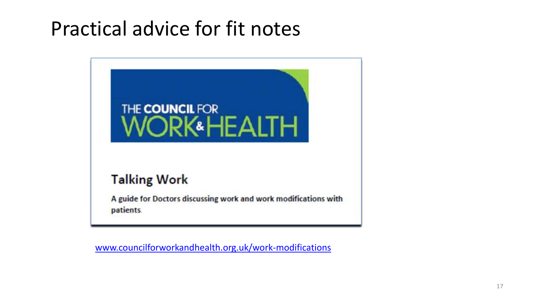## Practical advice for fit notes



#### **Talking Work**

A guide for Doctors discussing work and work modifications with patients.

[www.councilforworkandhealth.org.uk/work-modifications](http://www.councilforworkandhealth.org.uk/work-modifications)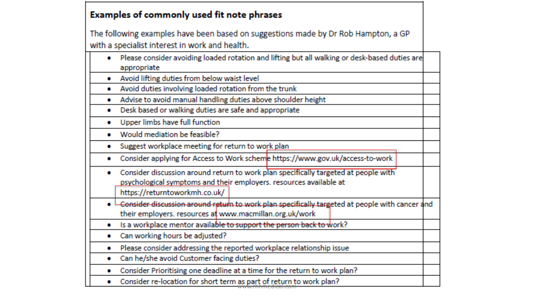#### Examples of commonly used fit note phrases

The following examples have been based on suggestions made by Dr Rob Hampton, a GP with a specialist interest in work and health.

| Please consider avoiding loaded rotation and lifting but all walking or desk-based duties are<br>appropriate                                                                               |  |
|--------------------------------------------------------------------------------------------------------------------------------------------------------------------------------------------|--|
| Avoid lifting duties from below waist level<br>۰                                                                                                                                           |  |
| Avoid duties involving loaded rotation from the trunk                                                                                                                                      |  |
| Advise to avoid manual handling duties above shoulder height<br>۰                                                                                                                          |  |
| Desk based or walking duties are safe and appropriate<br>and i                                                                                                                             |  |
| Upper limbs have full function<br>۰.                                                                                                                                                       |  |
| Would mediation be feasible?                                                                                                                                                               |  |
| Suggest workplace meeting for return to work plan<br>۰                                                                                                                                     |  |
| Consider applying for Access to Work scheme https://www.gov.uk/access-to-work<br>۰                                                                                                         |  |
| Consider discussion around return to work plan specifically targeted at people with<br>psychological symptoms and their employers. resources available at<br>https://returntoworkmh.co.uk/ |  |
| • Consider discussion around return to work plan specifically targeted at people with cancer and<br>their employers. resources at www.macmillan.org.uk/work                                |  |
| Is a workplace mentor available to support the person back to work?                                                                                                                        |  |
| Can working hours be adjusted?<br>۰                                                                                                                                                        |  |
| Please consider addressing the reported workplace relationship issue                                                                                                                       |  |
| Can he/she avoid Customer facing duties?                                                                                                                                                   |  |
| Consider Prioritising one deadline at a time for the return to work plan?                                                                                                                  |  |
| Consider re-location for short term as part of return to work plan?                                                                                                                        |  |
|                                                                                                                                                                                            |  |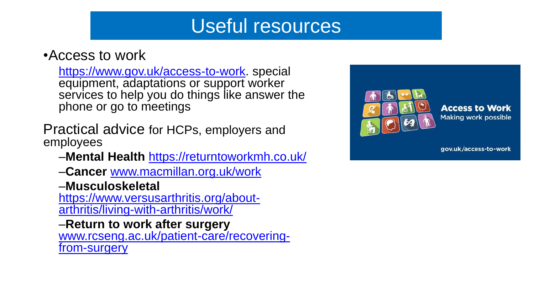#### •Access to work

[https://www.gov.uk/access-to-work.](https://www.gov.uk/access-to-work) special equipment, adaptations or support worker services to help you do things like answer the phone or go to meetings

Practical advice for HCPs, employers and employees

- –**Mental Health** <https://returntoworkmh.co.uk/>
- –**Cancer** [www.macmillan.org.uk/work](http://www.macmillan.org.uk/work)

–**Musculoskeletal** 

[https://www.versusarthritis.org/about](https://www.versusarthritis.org/about-arthritis/living-with-arthritis/work/)arthritis/living-with-arthritis/work/

–**Return to work after surgery**  [www.rcseng.ac.uk/patient-care/recovering](http://www.rcseng.ac.uk/patient-care/recovering-from-surgery)from-surgery



**Access to Work** Making work possible

gov.uk/access-to-work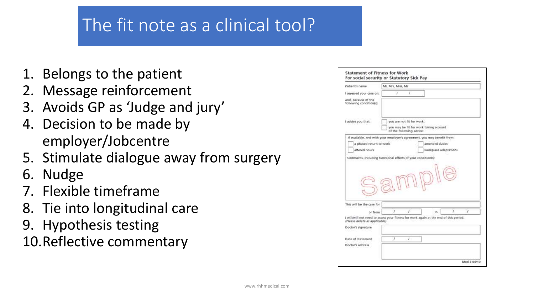## The fit note as a clinical tool?

- 1. Belongs to the patient
- 2. Message reinforcement
- 3. Avoids GP as 'Judge and jury'
- 4. Decision to be made by employer/Jobcentre
- 5. Stimulate dialogue away from surgery
- 6. Nudge
- 7. Flexible timeframe
- 8. Tie into longitudinal care
- 9. Hypothesis testing 10.Reflective commentary

| Patient's name                                 | Mr. Mrs. Miss. Ms                                                                               |
|------------------------------------------------|-------------------------------------------------------------------------------------------------|
| I assessed your case on:                       | y.                                                                                              |
| and, because of the<br>following condition(s): |                                                                                                 |
| I advise you that:                             | you are not fit for work.<br>you may be fit for work taking account<br>of the following advice: |
|                                                | If available, and with your employer's agreement, you may benefit from:                         |
| a phased return to work                        | amended duties                                                                                  |
|                                                |                                                                                                 |
| altered hours                                  | workplace adaptations                                                                           |
|                                                | Comments, including functional effects of your condition(s):                                    |
|                                                |                                                                                                 |
| This will be the case for                      |                                                                                                 |
| or from                                        | 7<br>7<br>1<br>1<br>to                                                                          |
| (Please delete as applicable)                  | I will/will not need to assess your fitness for work again at the end of this period.           |
| Doctor's signature                             |                                                                                                 |
| Date of statement                              | t<br>x                                                                                          |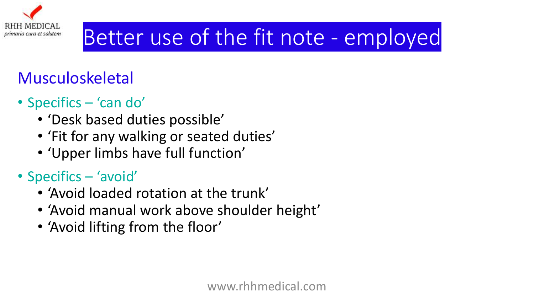

## Better use of the fit note - employed

## Musculoskeletal

- Specifics 'can do'
	- 'Desk based duties possible'
	- 'Fit for any walking or seated duties'
	- 'Upper limbs have full function'
- Specifics 'avoid'
	- 'Avoid loaded rotation at the trunk'
	- 'Avoid manual work above shoulder height'
	- 'Avoid lifting from the floor'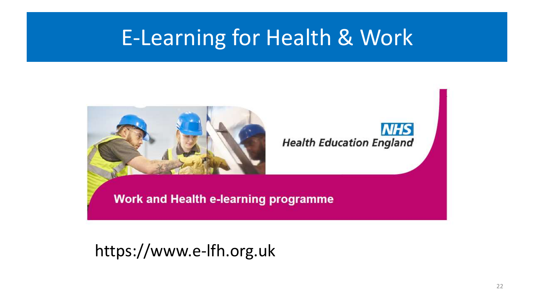## E-Learning for Health & Work



#### **NHS Health Education England**

Work and Health e-learning programme

https://www.e-lfh.org.uk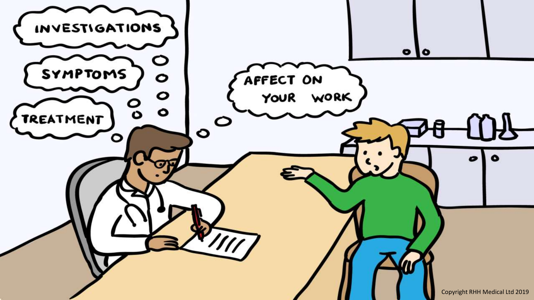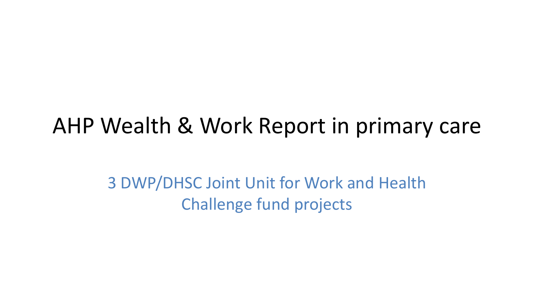## AHP Wealth & Work Report in primary care

3 DWP/DHSC Joint Unit for Work and Health Challenge fund projects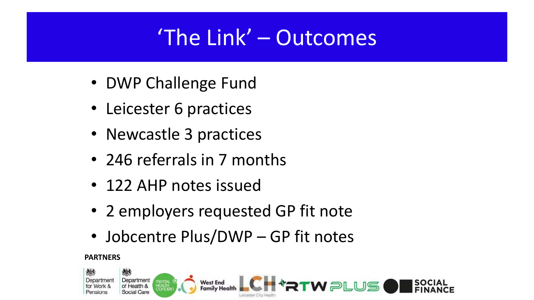## 'The Link' – Outcomes

- DWP Challenge Fund
- Leicester 6 practices
- Newcastle 3 practices
- 246 referrals in 7 months
- **122 AHP notes issued**  $\mathcal{L}$  and  $\mathcal{L}$  or  $\mathcal{L}$  or  $\mathcal{L}$
- **50 referrals:**42% MSK; 22% MH; 14% • 2 employers requested GP fit note
- Jobcentre Plus/DWP GP fit notes

**PARTNERS**

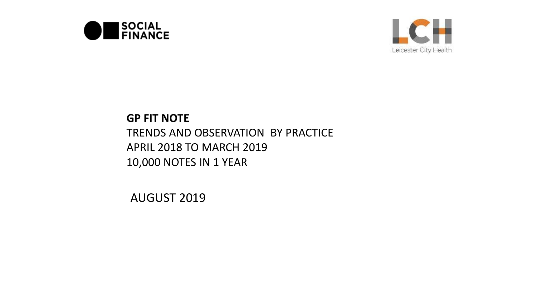



#### **GP FIT NOTE**  TRENDS AND OBSERVATION BY PRACTICE APRIL 2018 TO MARCH 2019 10,000 NOTES IN 1 YEAR

AUGUST 2019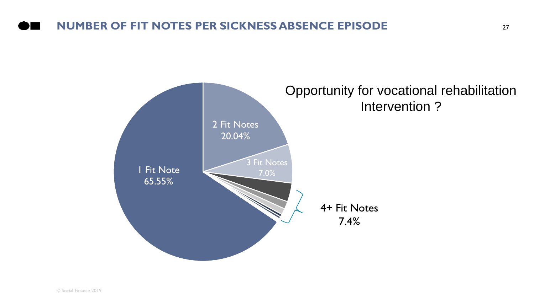

a ka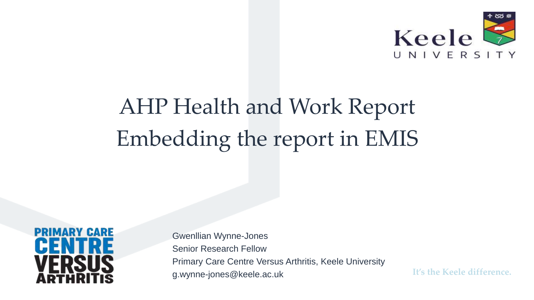

## AHP Health and Work Report Embedding the report in EMIS



Gwenllian Wynne-Jones Senior Research Fellow Primary Care Centre Versus Arthritis, Keele University g.wynne-jones@keele.ac.uk

**It's the Keele difference.**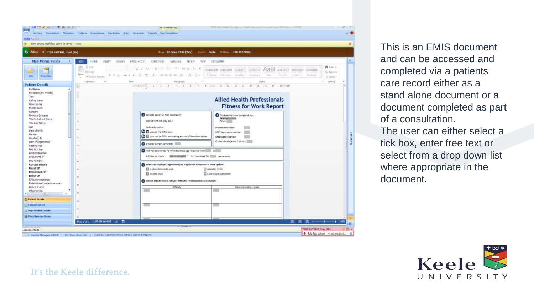

This is an EMIS document and can be accessed and completed via a patients care record either as a stand alone document or a document completed as part of a consultation.

The user can either select a tick box, enter free text or select from a drop down list where appropriate in the document.



**It's the Keele difference.**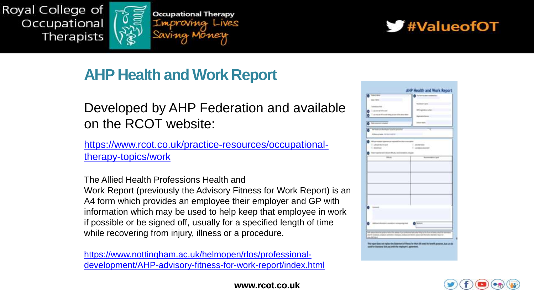





#### **AHP Health and Work Report**

#### Developed by AHP Federation and available on the RCOT website:

[https://www.rcot.co.uk/practice-resources/occupational](https://www.rcot.co.uk/practice-resources/occupational-therapy-topics/work)therapy-topics/work

The Allied Health Professions Health and Work Report (previously the Advisory Fitness for Work Report) is an A4 form which provides an employee their employer and GP with information which may be used to help keep that employee in work if possible or be signed off, usually for a specified length of time while recovering from injury, illness or a procedure.

https://www.nottingham.ac.uk/helmopen/rlos/professional[development/AHP-advisory-fitness-for-work-report/index.html](https://www.nottingham.ac.uk/helmopen/rlos/professional-development/AHP-advisory-fitness-for-work-report/index.html)





**www.rcot.co.uk**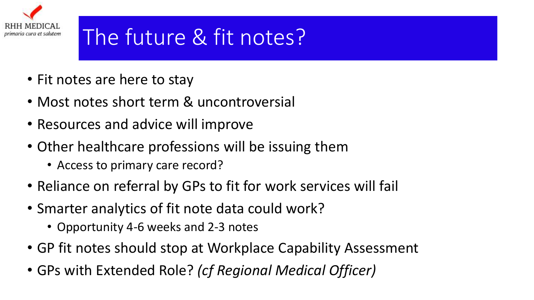

## The future & fit notes?

- Fit notes are here to stay
- Most notes short term & uncontroversial
- Resources and advice will improve
- Other healthcare professions will be issuing them
	- Access to primary care record?
- Reliance on referral by GPs to fit for work services will fail
- Smarter analytics of fit note data could work?
	- Opportunity 4-6 weeks and 2-3 notes
- GP fit notes should stop at Workplace Capability Assessment
- GPs with Extended Role? *(cf Regional Medical Officer)*